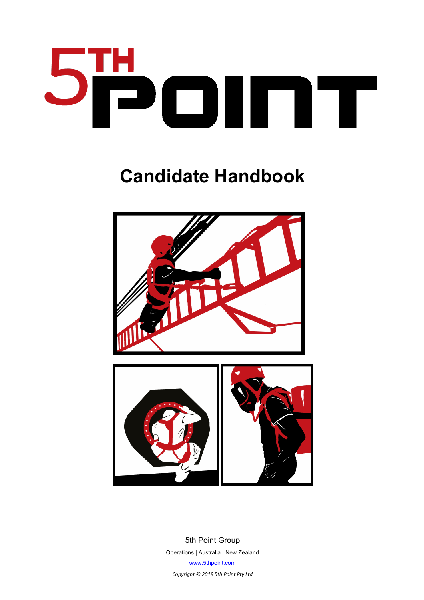

# **Candidate Handbook**



5th Point Group Operations | Australia | New Zealand www.5thpoint.com

*Copyright © 2018 5th Point Pty Ltd*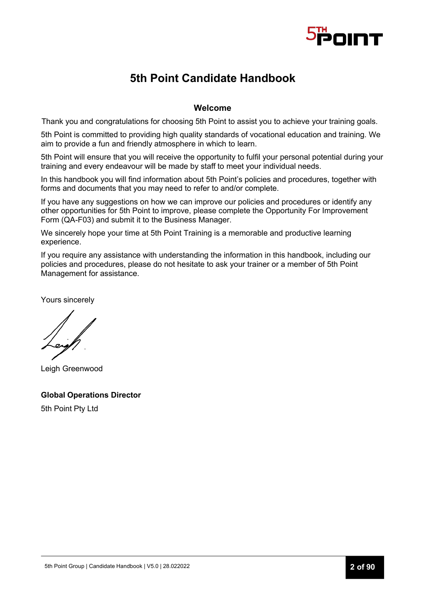

# **5th Point Candidate Handbook**

#### **Welcome**

Thank you and congratulations for choosing 5th Point to assist you to achieve your training goals.

5th Point is committed to providing high quality standards of vocational education and training. We aim to provide a fun and friendly atmosphere in which to learn.

5th Point will ensure that you will receive the opportunity to fulfil your personal potential during your training and every endeavour will be made by staff to meet your individual needs.

In this handbook you will find information about 5th Point's policies and procedures, together with forms and documents that you may need to refer to and/or complete.

If you have any suggestions on how we can improve our policies and procedures or identify any other opportunities for 5th Point to improve, please complete the Opportunity For Improvement Form (QA-F03) and submit it to the Business Manager.

We sincerely hope your time at 5th Point Training is a memorable and productive learning experience.

If you require any assistance with understanding the information in this handbook, including our policies and procedures, please do not hesitate to ask your trainer or a member of 5th Point Management for assistance.

Yours sincerely

Leigh Greenwood

**Global Operations Director** 5th Point Pty Ltd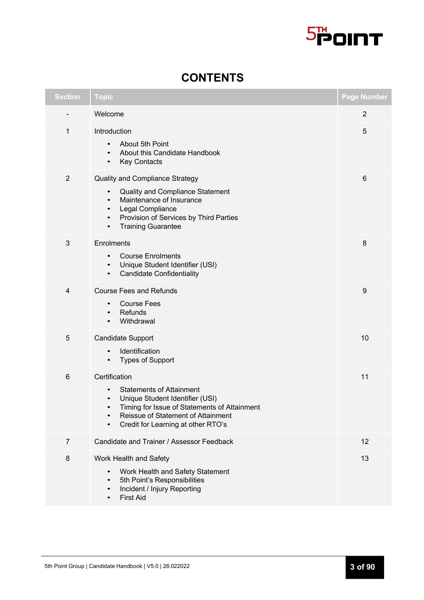

| <b>Section</b>  | <b>Topic</b>                                                                                                                                                                                                                                                       | <b>Page Number</b> |
|-----------------|--------------------------------------------------------------------------------------------------------------------------------------------------------------------------------------------------------------------------------------------------------------------|--------------------|
|                 | Welcome                                                                                                                                                                                                                                                            | $\overline{2}$     |
| 1               | Introduction<br>About 5th Point<br>$\bullet$<br>About this Candidate Handbook<br>$\bullet$<br><b>Key Contacts</b><br>$\bullet$                                                                                                                                     | 5                  |
| $\overline{2}$  | <b>Quality and Compliance Strategy</b><br>Quality and Compliance Statement<br>$\bullet$<br>Maintenance of Insurance<br>$\bullet$<br>Legal Compliance<br>$\bullet$<br>Provision of Services by Third Parties<br>$\bullet$<br><b>Training Guarantee</b><br>$\bullet$ | 6                  |
| 3               | Enrolments<br><b>Course Enrolments</b><br>$\bullet$<br>Unique Student Identifier (USI)<br><b>Candidate Confidentiality</b><br>$\bullet$                                                                                                                            | 8                  |
| $\overline{4}$  | <b>Course Fees and Refunds</b><br><b>Course Fees</b><br>٠<br>Refunds<br>$\bullet$<br>Withdrawal<br>$\bullet$                                                                                                                                                       | 9                  |
| 5               | <b>Candidate Support</b><br>Identification<br>٠<br><b>Types of Support</b><br>٠                                                                                                                                                                                    | 10                 |
| $6\phantom{1}6$ | Certification<br><b>Statements of Attainment</b><br>٠<br>Unique Student Identifier (USI)<br>$\bullet$<br>Timing for Issue of Statements of Attainment<br>Reissue of Statement of Attainment<br>$\bullet$<br>Credit for Learning at other RTO's<br>٠                | 11                 |
| 7               | Candidate and Trainer / Assessor Feedback                                                                                                                                                                                                                          | 12                 |
| $\,8\,$         | Work Health and Safety<br>Work Health and Safety Statement<br>$\bullet$<br>5th Point's Responsibilities<br>٠<br>Incident / Injury Reporting<br>$\bullet$<br><b>First Aid</b><br>$\bullet$                                                                          | 13                 |

# **CONTENTS**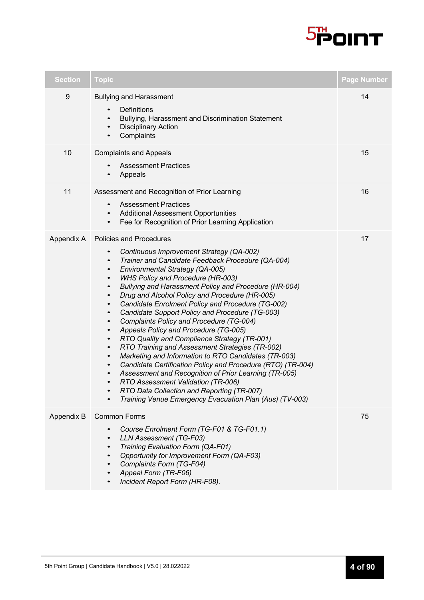

| <b>Section</b> | <b>Topic</b>                                                                                                                                                                                                                                                                                                                                                                                                                                                                                                                                                                                                                                                                                                                                                                                                                                                                                                                                                                                                                                                                                                                                                | <b>Page Number</b> |
|----------------|-------------------------------------------------------------------------------------------------------------------------------------------------------------------------------------------------------------------------------------------------------------------------------------------------------------------------------------------------------------------------------------------------------------------------------------------------------------------------------------------------------------------------------------------------------------------------------------------------------------------------------------------------------------------------------------------------------------------------------------------------------------------------------------------------------------------------------------------------------------------------------------------------------------------------------------------------------------------------------------------------------------------------------------------------------------------------------------------------------------------------------------------------------------|--------------------|
| $9\,$          | <b>Bullying and Harassment</b><br>Definitions<br>$\bullet$<br>Bullying, Harassment and Discrimination Statement<br><b>Disciplinary Action</b><br>Complaints                                                                                                                                                                                                                                                                                                                                                                                                                                                                                                                                                                                                                                                                                                                                                                                                                                                                                                                                                                                                 | 14                 |
| 10             | <b>Complaints and Appeals</b><br><b>Assessment Practices</b><br>Appeals                                                                                                                                                                                                                                                                                                                                                                                                                                                                                                                                                                                                                                                                                                                                                                                                                                                                                                                                                                                                                                                                                     | 15                 |
| 11             | Assessment and Recognition of Prior Learning<br><b>Assessment Practices</b><br>$\bullet$<br><b>Additional Assessment Opportunities</b><br>$\bullet$<br>Fee for Recognition of Prior Learning Application<br>$\bullet$                                                                                                                                                                                                                                                                                                                                                                                                                                                                                                                                                                                                                                                                                                                                                                                                                                                                                                                                       | 16                 |
| Appendix A     | <b>Policies and Procedures</b><br>Continuous Improvement Strategy (QA-002)<br>$\bullet$<br>Trainer and Candidate Feedback Procedure (QA-004)<br>$\bullet$<br>Environmental Strategy (QA-005)<br>$\bullet$<br><b>WHS Policy and Procedure (HR-003)</b><br>$\bullet$<br>Bullying and Harassment Policy and Procedure (HR-004)<br>$\bullet$<br>Drug and Alcohol Policy and Procedure (HR-005)<br>$\bullet$<br>Candidate Enrolment Policy and Procedure (TG-002)<br>$\bullet$<br>Candidate Support Policy and Procedure (TG-003)<br>$\bullet$<br>Complaints Policy and Procedure (TG-004)<br>$\bullet$<br>Appeals Policy and Procedure (TG-005)<br>$\bullet$<br>RTO Quality and Compliance Strategy (TR-001)<br>$\bullet$<br>RTO Training and Assessment Strategies (TR-002)<br>$\bullet$<br>Marketing and Information to RTO Candidates (TR-003)<br>$\bullet$<br>Candidate Certification Policy and Procedure (RTO) (TR-004)<br>$\bullet$<br>Assessment and Recognition of Prior Learning (TR-005)<br>$\bullet$<br>RTO Assessment Validation (TR-006)<br>RTO Data Collection and Reporting (TR-007)<br>Training Venue Emergency Evacuation Plan (Aus) (TV-003) | 17                 |
| Appendix B     | <b>Common Forms</b><br>Course Enrolment Form (TG-F01 & TG-F01.1)<br>LLN Assessment (TG-F03)<br>$\bullet$<br>Training Evaluation Form (QA-F01)<br>Opportunity for Improvement Form (QA-F03)<br>Complaints Form (TG-F04)<br>Appeal Form (TR-F06)<br>Incident Report Form (HR-F08).                                                                                                                                                                                                                                                                                                                                                                                                                                                                                                                                                                                                                                                                                                                                                                                                                                                                            | 75                 |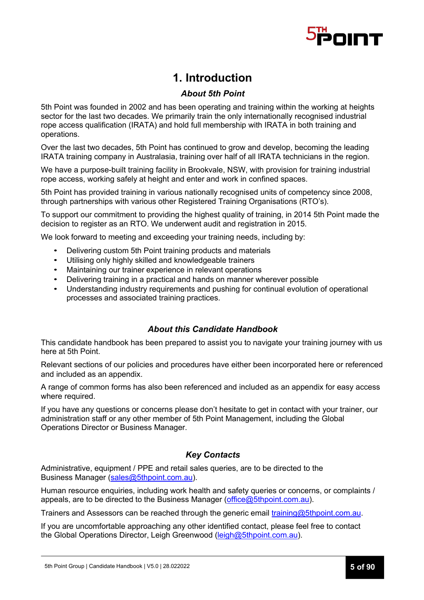

# **1. Introduction**

### *About 5th Point*

5th Point was founded in 2002 and has been operating and training within the working at heights sector for the last two decades. We primarily train the only internationally recognised industrial rope access qualification (IRATA) and hold full membership with IRATA in both training and operations.

Over the last two decades, 5th Point has continued to grow and develop, becoming the leading IRATA training company in Australasia, training over half of all IRATA technicians in the region.

We have a purpose-built training facility in Brookvale, NSW, with provision for training industrial rope access, working safely at height and enter and work in confined spaces.

5th Point has provided training in various nationally recognised units of competency since 2008, through partnerships with various other Registered Training Organisations (RTO's).

To support our commitment to providing the highest quality of training, in 2014 5th Point made the decision to register as an RTO. We underwent audit and registration in 2015.

We look forward to meeting and exceeding your training needs, including by:

- Delivering custom 5th Point training products and materials
- Utilising only highly skilled and knowledgeable trainers
- Maintaining our trainer experience in relevant operations
- Delivering training in a practical and hands on manner wherever possible
- Understanding industry requirements and pushing for continual evolution of operational processes and associated training practices.

### *About this Candidate Handbook*

This candidate handbook has been prepared to assist you to navigate your training journey with us here at 5th Point.

Relevant sections of our policies and procedures have either been incorporated here or referenced and included as an appendix.

A range of common forms has also been referenced and included as an appendix for easy access where required.

If you have any questions or concerns please don't hesitate to get in contact with your trainer, our administration staff or any other member of 5th Point Management, including the Global Operations Director or Business Manager.

#### *Key Contacts*

Administrative, equipment / PPE and retail sales queries, are to be directed to the Business Manager (sales@5thpoint.com.au).

Human resource enquiries, including work health and safety queries or concerns, or complaints / appeals, are to be directed to the Business Manager (office@5thpoint.com.au).

Trainers and Assessors can be reached through the generic email training@5thpoint.com.au.

If you are uncomfortable approaching any other identified contact, please feel free to contact the Global Operations Director, Leigh Greenwood (leigh@5thpoint.com.au).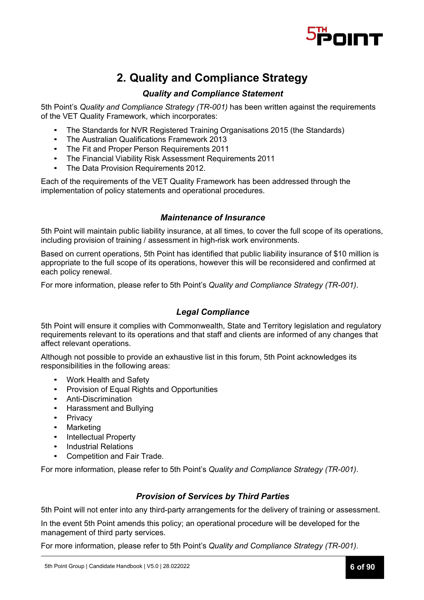

# **2. Quality and Compliance Strategy**

# *Quality and Compliance Statement*

5th Point's *Quality and Compliance Strategy (TR-001)* has been written against the requirements of the VET Quality Framework, which incorporates:

- The Standards for NVR Registered Training Organisations 2015 (the Standards)
- The Australian Qualifications Framework 2013
- The Fit and Proper Person Requirements 2011
- The Financial Viability Risk Assessment Requirements 2011
- The Data Provision Requirements 2012.

Each of the requirements of the VET Quality Framework has been addressed through the implementation of policy statements and operational procedures.

### *Maintenance of Insurance*

5th Point will maintain public liability insurance, at all times, to cover the full scope of its operations, including provision of training / assessment in high-risk work environments.

Based on current operations, 5th Point has identified that public liability insurance of \$10 million is appropriate to the full scope of its operations, however this will be reconsidered and confirmed at each policy renewal.

For more information, please refer to 5th Point's *Quality and Compliance Strategy (TR-001)*.

### *Legal Compliance*

5th Point will ensure it complies with Commonwealth, State and Territory legislation and regulatory requirements relevant to its operations and that staff and clients are informed of any changes that affect relevant operations.

Although not possible to provide an exhaustive list in this forum, 5th Point acknowledges its responsibilities in the following areas:

- Work Health and Safety
- Provision of Equal Rights and Opportunities
- Anti-Discrimination
- Harassment and Bullying
- **Privacy**
- **Marketing**
- Intellectual Property
- Industrial Relations
- Competition and Fair Trade.

For more information, please refer to 5th Point's *Quality and Compliance Strategy (TR-001)*.

### *Provision of Services by Third Parties*

5th Point will not enter into any third-party arrangements for the delivery of training or assessment.

In the event 5th Point amends this policy; an operational procedure will be developed for the management of third party services.

For more information, please refer to 5th Point's *Quality and Compliance Strategy (TR-001)*.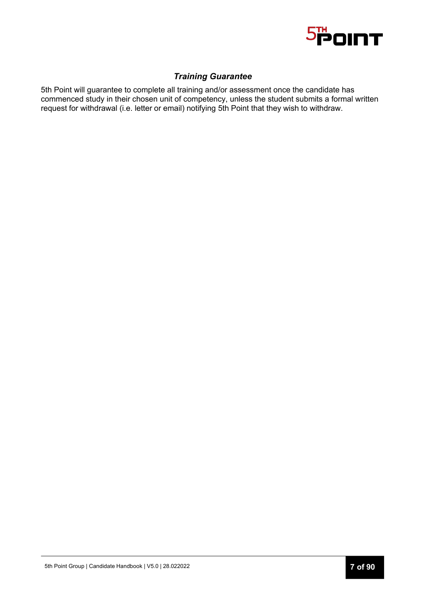

# *Training Guarantee*

5th Point will guarantee to complete all training and/or assessment once the candidate has commenced study in their chosen unit of competency, unless the student submits a formal written request for withdrawal (i.e. letter or email) notifying 5th Point that they wish to withdraw.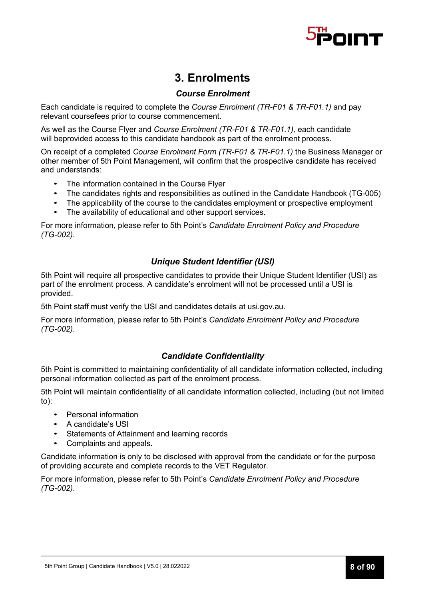

# **3. Enrolments**

### *Course Enrolment*

Each candidate is required to complete the *Course Enrolment (TR-F01 & TR-F01.1)* and pay relevant coursefees prior to course commencement.

As well as the Course Flyer and *Course Enrolment (TR-F01 & TR-F01.1),* each candidate will beprovided access to this candidate handbook as part of the enrolment process.

On receipt of a completed *Course Enrolment Form (TR-F01 & TR-F01.1)* the Business Manager or other member of 5th Point Management, will confirm that the prospective candidate has received and understands:

- The information contained in the Course Flyer
- The candidates rights and responsibilities as outlined in the Candidate Handbook (TG-005)
- The applicability of the course to the candidates employment or prospective employment
- The availability of educational and other support services.

For more information, please refer to 5th Point's *Candidate Enrolment Policy and Procedure (TG-002)*.

### *Unique Student Identifier (USI)*

5th Point will require all prospective candidates to provide their Unique Student Identifier (USI) as part of the enrolment process. A candidate's enrolment will not be processed until a USI is provided.

5th Point staff must verify the USI and candidates details at usi.gov.au.

For more information, please refer to 5th Point's *Candidate Enrolment Policy and Procedure (TG-002)*.

### *Candidate Confidentiality*

5th Point is committed to maintaining confidentiality of all candidate information collected, including personal information collected as part of the enrolment process.

5th Point will maintain confidentiality of all candidate information collected, including (but not limited to):

- Personal information
- A candidate's USI
- Statements of Attainment and learning records
- Complaints and appeals.

Candidate information is only to be disclosed with approval from the candidate or for the purpose of providing accurate and complete records to the VET Regulator.

For more information, please refer to 5th Point's *Candidate Enrolment Policy and Procedure (TG-002)*.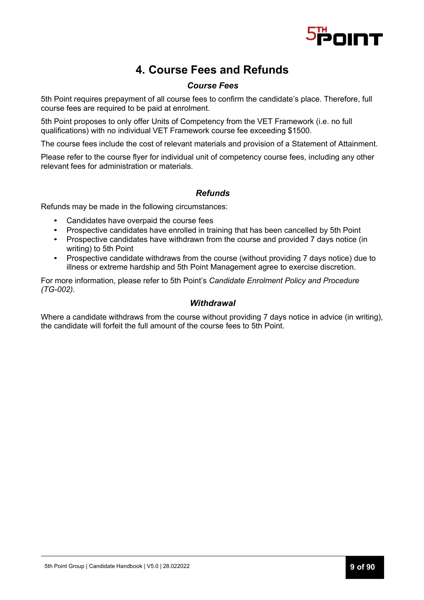

# **4. Course Fees and Refunds**

### *Course Fees*

5th Point requires prepayment of all course fees to confirm the candidate's place. Therefore, full course fees are required to be paid at enrolment.

5th Point proposes to only offer Units of Competency from the VET Framework (i.e. no full qualifications) with no individual VET Framework course fee exceeding \$1500.

The course fees include the cost of relevant materials and provision of a Statement of Attainment.

Please refer to the course flyer for individual unit of competency course fees, including any other relevant fees for administration or materials.

### *Refunds*

Refunds may be made in the following circumstances:

- Candidates have overpaid the course fees
- Prospective candidates have enrolled in training that has been cancelled by 5th Point
- Prospective candidates have withdrawn from the course and provided 7 days notice (in writing) to 5th Point
- Prospective candidate withdraws from the course (without providing 7 days notice) due to illness or extreme hardship and 5th Point Management agree to exercise discretion.

For more information, please refer to 5th Point's *Candidate Enrolment Policy and Procedure (TG-002)*.

#### *Withdrawal*

Where a candidate withdraws from the course without providing 7 days notice in advice (in writing), the candidate will forfeit the full amount of the course fees to 5th Point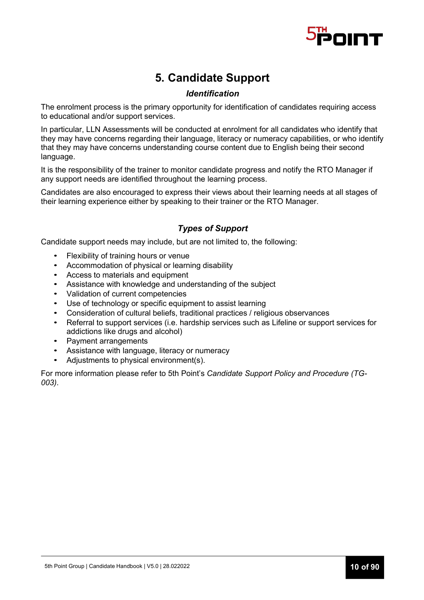

# **5. Candidate Support**

# *Identification*

The enrolment process is the primary opportunity for identification of candidates requiring access to educational and/or support services.

In particular, LLN Assessments will be conducted at enrolment for all candidates who identify that they may have concerns regarding their language, literacy or numeracy capabilities, or who identify that they may have concerns understanding course content due to English being their second language.

It is the responsibility of the trainer to monitor candidate progress and notify the RTO Manager if any support needs are identified throughout the learning process.

Candidates are also encouraged to express their views about their learning needs at all stages of their learning experience either by speaking to their trainer or the RTO Manager.

# *Types of Support*

Candidate support needs may include, but are not limited to, the following:

- Flexibility of training hours or venue
- Accommodation of physical or learning disability
- Access to materials and equipment
- Assistance with knowledge and understanding of the subject
- Validation of current competencies
- Use of technology or specific equipment to assist learning
- Consideration of cultural beliefs, traditional practices / religious observances
- Referral to support services (i.e. hardship services such as Lifeline or support services for addictions like drugs and alcohol)
- Payment arrangements
- Assistance with language, literacy or numeracy
- Adjustments to physical environment(s).

For more information please refer to 5th Point's *Candidate Support Policy and Procedure (TG-003)*.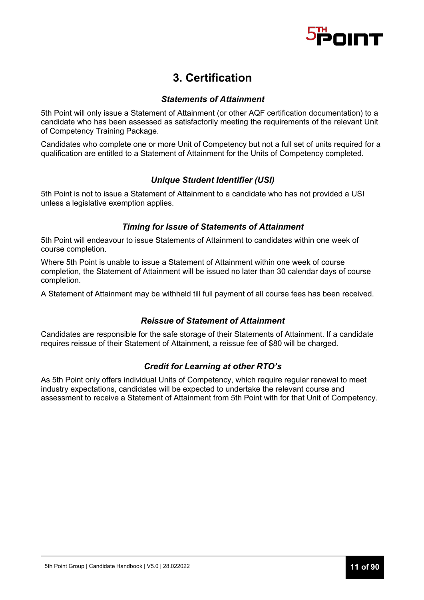

# **3. Certification**

### *Statements of Attainment*

5th Point will only issue a Statement of Attainment (or other AQF certification documentation) to a candidate who has been assessed as satisfactorily meeting the requirements of the relevant Unit of Competency Training Package.

Candidates who complete one or more Unit of Competency but not a full set of units required for a qualification are entitled to a Statement of Attainment for the Units of Competency completed.

# *Unique Student Identifier (USI)*

5th Point is not to issue a Statement of Attainment to a candidate who has not provided a USI unless a legislative exemption applies.

### *Timing for Issue of Statements of Attainment*

5th Point will endeavour to issue Statements of Attainment to candidates within one week of course completion.

Where 5th Point is unable to issue a Statement of Attainment within one week of course completion, the Statement of Attainment will be issued no later than 30 calendar days of course completion.

A Statement of Attainment may be withheld till full payment of all course fees has been received.

# *Reissue of Statement of Attainment*

Candidates are responsible for the safe storage of their Statements of Attainment. If a candidate requires reissue of their Statement of Attainment, a reissue fee of \$80 will be charged.

# *Credit for Learning at other RTO's*

As 5th Point only offers individual Units of Competency, which require regular renewal to meet industry expectations, candidates will be expected to undertake the relevant course and assessment to receive a Statement of Attainment from 5th Point with for that Unit of Competency.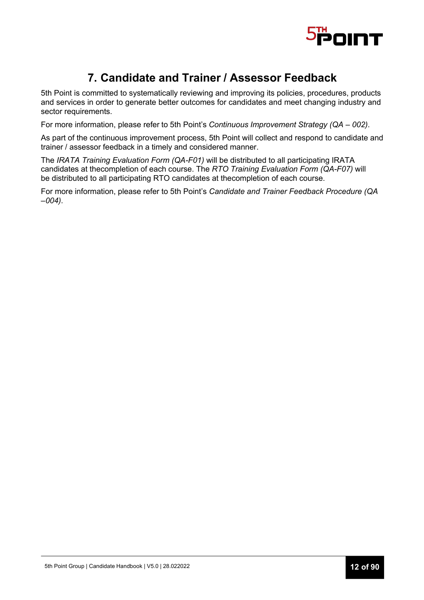

# **7. Candidate and Trainer / Assessor Feedback**

5th Point is committed to systematically reviewing and improving its policies, procedures, products and services in order to generate better outcomes for candidates and meet changing industry and sector requirements.

For more information, please refer to 5th Point's *Continuous Improvement Strategy (QA – 002)*.

As part of the continuous improvement process, 5th Point will collect and respond to candidate and trainer / assessor feedback in a timely and considered manner.

The *IRATA Training Evaluation Form (QA-F01)* will be distributed to all participating IRATA candidates at thecompletion of each course. The *RTO Training Evaluation Form (QA-F07)* will be distributed to all participating RTO candidates at thecompletion of each course.

For more information, please refer to 5th Point's *Candidate and Trainer Feedback Procedure (QA –004)*.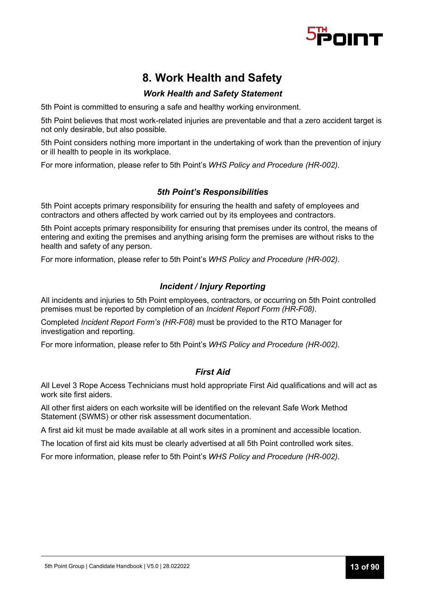

# **8. Work Health and Safety**

# *Work Health and Safety Statement*

5th Point is committed to ensuring a safe and healthy working environment.

5th Point believes that most work-related injuries are preventable and that a zero accident target is not only desirable, but also possible.

5th Point considers nothing more important in the undertaking of work than the prevention of injury or ill health to people in its workplace.

For more information, please refer to 5th Point's *WHS Policy and Procedure (HR-002)*.

### *5th Point's Responsibilities*

5th Point accepts primary responsibility for ensuring the health and safety of employees and contractors and others affected by work carried out by its employees and contractors.

5th Point accepts primary responsibility for ensuring that premises under its control, the means of entering and exiting the premises and anything arising form the premises are without risks to the health and safety of any person.

For more information, please refer to 5th Point's *WHS Policy and Procedure (HR-002)*.

### *Incident / Injury Reporting*

All incidents and injuries to 5th Point employees, contractors, or occurring on 5th Point controlled premises must be reported by completion of an *Incident Report Form (HR-F08)*.

Completed *Incident Report Form's (HR-F08)* must be provided to the RTO Manager for investigation and reporting.

For more information, please refer to 5th Point's *WHS Policy and Procedure (HR-002)*.

### *First Aid*

All Level 3 Rope Access Technicians must hold appropriate First Aid qualifications and will act as work site first aiders.

All other first aiders on each worksite will be identified on the relevant Safe Work Method Statement (SWMS) or other risk assessment documentation.

A first aid kit must be made available at all work sites in a prominent and accessible location.

The location of first aid kits must be clearly advertised at all 5th Point controlled work sites.

For more information, please refer to 5th Point's *WHS Policy and Procedure (HR-002)*.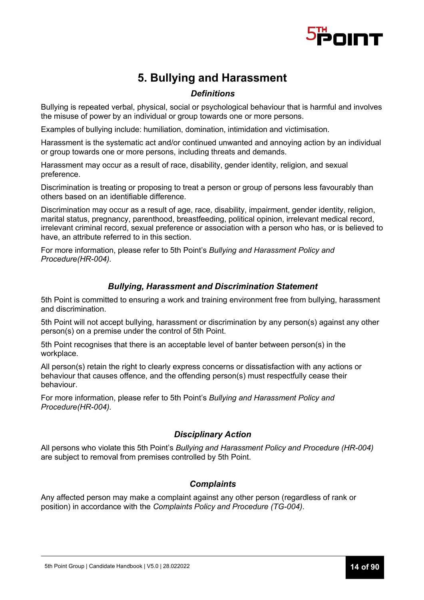

# **5. Bullying and Harassment**

# *Definitions*

Bullying is repeated verbal, physical, social or psychological behaviour that is harmful and involves the misuse of power by an individual or group towards one or more persons.

Examples of bullying include: humiliation, domination, intimidation and victimisation.

Harassment is the systematic act and/or continued unwanted and annoying action by an individual or group towards one or more persons, including threats and demands.

Harassment may occur as a result of race, disability, gender identity, religion, and sexual preference.

Discrimination is treating or proposing to treat a person or group of persons less favourably than others based on an identifiable difference.

Discrimination may occur as a result of age, race, disability, impairment, gender identity, religion, marital status, pregnancy, parenthood, breastfeeding, political opinion, irrelevant medical record, irrelevant criminal record, sexual preference or association with a person who has, or is believed to have, an attribute referred to in this section.

For more information, please refer to 5th Point's *Bullying and Harassment Policy and Procedure(HR-004).*

### *Bullying, Harassment and Discrimination Statement*

5th Point is committed to ensuring a work and training environment free from bullying, harassment and discrimination.

5th Point will not accept bullying, harassment or discrimination by any person(s) against any other person(s) on a premise under the control of 5th Point.

5th Point recognises that there is an acceptable level of banter between person(s) in the workplace.

All person(s) retain the right to clearly express concerns or dissatisfaction with any actions or behaviour that causes offence, and the offending person(s) must respectfully cease their behaviour.

For more information, please refer to 5th Point's *Bullying and Harassment Policy and Procedure(HR-004).*

### *Disciplinary Action*

All persons who violate this 5th Point's *Bullying and Harassment Policy and Procedure (HR-004)* are subject to removal from premises controlled by 5th Point.

### *Complaints*

Any affected person may make a complaint against any other person (regardless of rank or position) in accordance with the *Complaints Policy and Procedure (TG-004)*.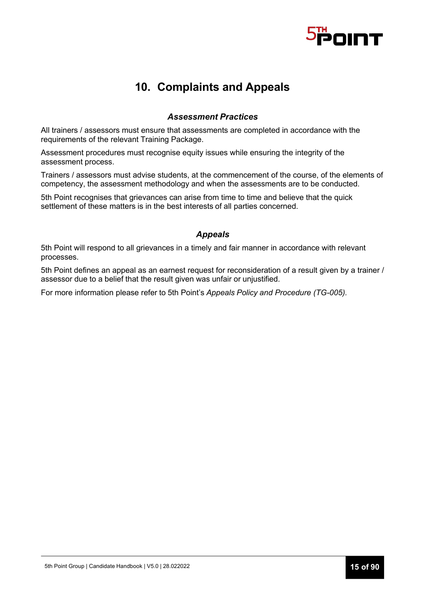

# **10. Complaints and Appeals**

#### *Assessment Practices*

All trainers / assessors must ensure that assessments are completed in accordance with the requirements of the relevant Training Package.

Assessment procedures must recognise equity issues while ensuring the integrity of the assessment process.

Trainers / assessors must advise students, at the commencement of the course, of the elements of competency, the assessment methodology and when the assessments are to be conducted.

5th Point recognises that grievances can arise from time to time and believe that the quick settlement of these matters is in the best interests of all parties concerned.

#### *Appeals*

5th Point will respond to all grievances in a timely and fair manner in accordance with relevant processes.

5th Point defines an appeal as an earnest request for reconsideration of a result given by a trainer / assessor due to a belief that the result given was unfair or unjustified.

For more information please refer to 5th Point's *Appeals Policy and Procedure (TG-005).*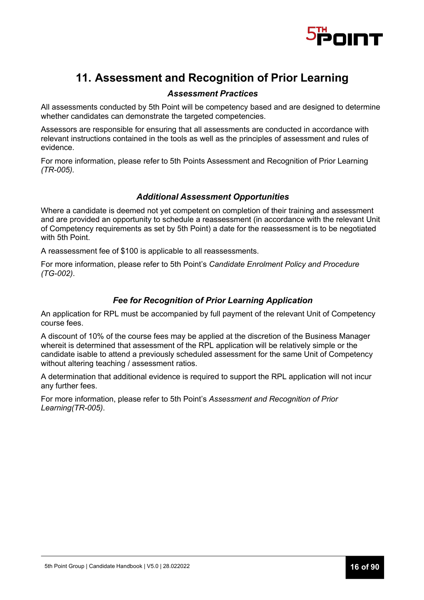

# **11. Assessment and Recognition of Prior Learning**

### *Assessment Practices*

All assessments conducted by 5th Point will be competency based and are designed to determine whether candidates can demonstrate the targeted competencies.

Assessors are responsible for ensuring that all assessments are conducted in accordance with relevant instructions contained in the tools as well as the principles of assessment and rules of evidence.

For more information, please refer to 5th Points Assessment and Recognition of Prior Learning *(TR-005).*

### *Additional Assessment Opportunities*

Where a candidate is deemed not yet competent on completion of their training and assessment and are provided an opportunity to schedule a reassessment (in accordance with the relevant Unit of Competency requirements as set by 5th Point) a date for the reassessment is to be negotiated with 5th Point.

A reassessment fee of \$100 is applicable to all reassessments.

For more information, please refer to 5th Point's *Candidate Enrolment Policy and Procedure (TG-002)*.

### *Fee for Recognition of Prior Learning Application*

An application for RPL must be accompanied by full payment of the relevant Unit of Competency course fees.

A discount of 10% of the course fees may be applied at the discretion of the Business Manager whereit is determined that assessment of the RPL application will be relatively simple or the candidate isable to attend a previously scheduled assessment for the same Unit of Competency without altering teaching / assessment ratios.

A determination that additional evidence is required to support the RPL application will not incur any further fees.

For more information, please refer to 5th Point's *Assessment and Recognition of Prior Learning(TR-005)*.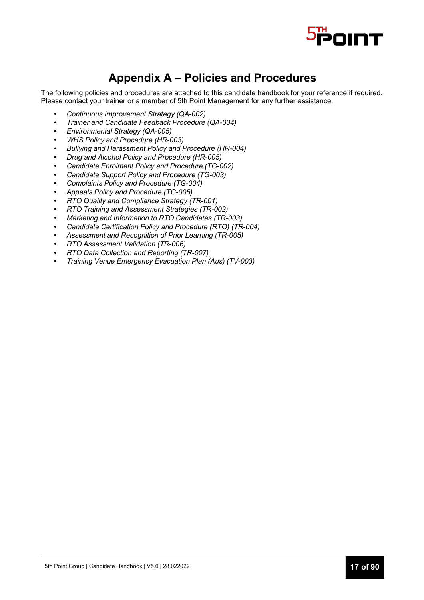

# **Appendix A – Policies and Procedures**

The following policies and procedures are attached to this candidate handbook for your reference if required. Please contact your trainer or a member of 5th Point Management for any further assistance.

- *Continuous Improvement Strategy (QA-002)*
- *Trainer and Candidate Feedback Procedure (QA-004)*
- *Environmental Strategy (QA-005)*
- *WHS Policy and Procedure (HR-003)*
- *Bullying and Harassment Policy and Procedure (HR-004)*
- *Drug and Alcohol Policy and Procedure (HR-005)*
- *Candidate Enrolment Policy and Procedure (TG-002)*
- *Candidate Support Policy and Procedure (TG-003)*
- *Complaints Policy and Procedure (TG-004)*
- *Appeals Policy and Procedure (TG-005)*
- *RTO Quality and Compliance Strategy (TR-001)*
- *RTO Training and Assessment Strategies (TR-002)*
- *Marketing and Information to RTO Candidates (TR-003)*
- *Candidate Certification Policy and Procedure (RTO) (TR-004)*
- *Assessment and Recognition of Prior Learning (TR-005)*
- *RTO Assessment Validation (TR-006)*
- *RTO Data Collection and Reporting (TR-007)*
- *Training Venue Emergency Evacuation Plan (Aus) (TV-003)*